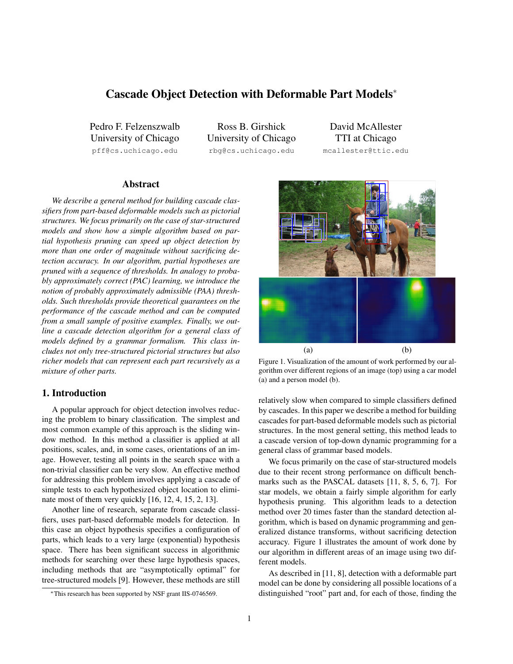# Cascade Object Detection with Deformable Part Models<sup>∗</sup>

Pedro F. Felzenszwalb University of Chicago pff@cs.uchicago.edu

Ross B. Girshick University of Chicago rbg@cs.uchicago.edu

David McAllester TTI at Chicago mcallester@ttic.edu

## Abstract

*We describe a general method for building cascade classifiers from part-based deformable models such as pictorial structures. We focus primarily on the case of star-structured models and show how a simple algorithm based on partial hypothesis pruning can speed up object detection by more than one order of magnitude without sacrificing detection accuracy. In our algorithm, partial hypotheses are pruned with a sequence of thresholds. In analogy to probably approximately correct (PAC) learning, we introduce the notion of probably approximately admissible (PAA) thresholds. Such thresholds provide theoretical guarantees on the performance of the cascade method and can be computed from a small sample of positive examples. Finally, we outline a cascade detection algorithm for a general class of models defined by a grammar formalism. This class includes not only tree-structured pictorial structures but also richer models that can represent each part recursively as a mixture of other parts.*

### 1. Introduction

A popular approach for object detection involves reducing the problem to binary classification. The simplest and most common example of this approach is the sliding window method. In this method a classifier is applied at all positions, scales, and, in some cases, orientations of an image. However, testing all points in the search space with a non-trivial classifier can be very slow. An effective method for addressing this problem involves applying a cascade of simple tests to each hypothesized object location to eliminate most of them very quickly [16, 12, 4, 15, 2, 13].

Another line of research, separate from cascade classifiers, uses part-based deformable models for detection. In this case an object hypothesis specifies a configuration of parts, which leads to a very large (exponential) hypothesis space. There has been significant success in algorithmic methods for searching over these large hypothesis spaces, including methods that are "asymptotically optimal" for tree-structured models [9]. However, these methods are still



Figure 1. Visualization of the amount of work performed by our algorithm over different regions of an image (top) using a car model (a) and a person model (b).

relatively slow when compared to simple classifiers defined by cascades. In this paper we describe a method for building cascades for part-based deformable models such as pictorial structures. In the most general setting, this method leads to a cascade version of top-down dynamic programming for a general class of grammar based models.

We focus primarily on the case of star-structured models due to their recent strong performance on difficult benchmarks such as the PASCAL datasets [11, 8, 5, 6, 7]. For star models, we obtain a fairly simple algorithm for early hypothesis pruning. This algorithm leads to a detection method over 20 times faster than the standard detection algorithm, which is based on dynamic programming and generalized distance transforms, without sacrificing detection accuracy. Figure 1 illustrates the amount of work done by our algorithm in different areas of an image using two different models.

As described in [11, 8], detection with a deformable part model can be done by considering all possible locations of a distinguished "root" part and, for each of those, finding the

<sup>∗</sup>This research has been supported by NSF grant IIS-0746569.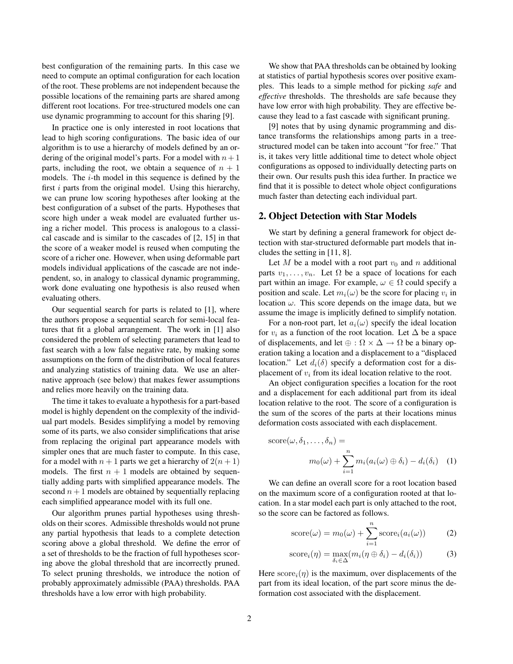best configuration of the remaining parts. In this case we need to compute an optimal configuration for each location of the root. These problems are not independent because the possible locations of the remaining parts are shared among different root locations. For tree-structured models one can use dynamic programming to account for this sharing [9].

In practice one is only interested in root locations that lead to high scoring configurations. The basic idea of our algorithm is to use a hierarchy of models defined by an ordering of the original model's parts. For a model with  $n+1$ parts, including the root, we obtain a sequence of  $n + 1$ models. The  $i$ -th model in this sequence is defined by the first  $i$  parts from the original model. Using this hierarchy, we can prune low scoring hypotheses after looking at the best configuration of a subset of the parts. Hypotheses that score high under a weak model are evaluated further using a richer model. This process is analogous to a classical cascade and is similar to the cascades of [2, 15] in that the score of a weaker model is reused when computing the score of a richer one. However, when using deformable part models individual applications of the cascade are not independent, so, in analogy to classical dynamic programming, work done evaluating one hypothesis is also reused when evaluating others.

Our sequential search for parts is related to [1], where the authors propose a sequential search for semi-local features that fit a global arrangement. The work in [1] also considered the problem of selecting parameters that lead to fast search with a low false negative rate, by making some assumptions on the form of the distribution of local features and analyzing statistics of training data. We use an alternative approach (see below) that makes fewer assumptions and relies more heavily on the training data.

The time it takes to evaluate a hypothesis for a part-based model is highly dependent on the complexity of the individual part models. Besides simplifying a model by removing some of its parts, we also consider simplifications that arise from replacing the original part appearance models with simpler ones that are much faster to compute. In this case, for a model with  $n + 1$  parts we get a hierarchy of  $2(n + 1)$ models. The first  $n + 1$  models are obtained by sequentially adding parts with simplified appearance models. The second  $n + 1$  models are obtained by sequentially replacing each simplified appearance model with its full one.

Our algorithm prunes partial hypotheses using thresholds on their scores. Admissible thresholds would not prune any partial hypothesis that leads to a complete detection scoring above a global threshold. We define the error of a set of thresholds to be the fraction of full hypotheses scoring above the global threshold that are incorrectly pruned. To select pruning thresholds, we introduce the notion of probably approximately admissible (PAA) thresholds. PAA thresholds have a low error with high probability.

We show that PAA thresholds can be obtained by looking at statistics of partial hypothesis scores over positive examples. This leads to a simple method for picking *safe* and *effective* thresholds. The thresholds are safe because they have low error with high probability. They are effective because they lead to a fast cascade with significant pruning.

[9] notes that by using dynamic programming and distance transforms the relationships among parts in a treestructured model can be taken into account "for free." That is, it takes very little additional time to detect whole object configurations as opposed to individually detecting parts on their own. Our results push this idea further. In practice we find that it is possible to detect whole object configurations much faster than detecting each individual part.

#### 2. Object Detection with Star Models

We start by defining a general framework for object detection with star-structured deformable part models that includes the setting in [11, 8].

Let M be a model with a root part  $v_0$  and n additional parts  $v_1, \ldots, v_n$ . Let  $\Omega$  be a space of locations for each part within an image. For example,  $\omega \in \Omega$  could specify a position and scale. Let  $m_i(\omega)$  be the score for placing  $v_i$  in location  $\omega$ . This score depends on the image data, but we assume the image is implicitly defined to simplify notation.

For a non-root part, let  $a_i(\omega)$  specify the ideal location for  $v_i$  as a function of the root location. Let  $\Delta$  be a space of displacements, and let  $\oplus$  :  $\Omega \times \Delta \rightarrow \Omega$  be a binary operation taking a location and a displacement to a "displaced location." Let  $d_i(\delta)$  specify a deformation cost for a displacement of  $v_i$  from its ideal location relative to the root.

An object configuration specifies a location for the root and a displacement for each additional part from its ideal location relative to the root. The score of a configuration is the sum of the scores of the parts at their locations minus deformation costs associated with each displacement.

score
$$
(\omega, \delta_1, ..., \delta_n)
$$
 =  
\n
$$
m_0(\omega) + \sum_{i=1}^n m_i (a_i(\omega) \oplus \delta_i) - d_i(\delta_i) \quad (1)
$$

We can define an overall score for a root location based on the maximum score of a configuration rooted at that location. In a star model each part is only attached to the root, so the score can be factored as follows.

score(
$$
\omega
$$
) =  $m_0(\omega)$  +  $\sum_{i=1}^{n}$ score<sub>i</sub>( $a_i(\omega)$ ) (2)

score<sub>i</sub>(
$$
\eta
$$
) = max $(m_i(\eta \oplus \delta_i) - d_i(\delta_i))$  (3)

Here  $\text{score}_i(\eta)$  is the maximum, over displacements of the part from its ideal location, of the part score minus the deformation cost associated with the displacement.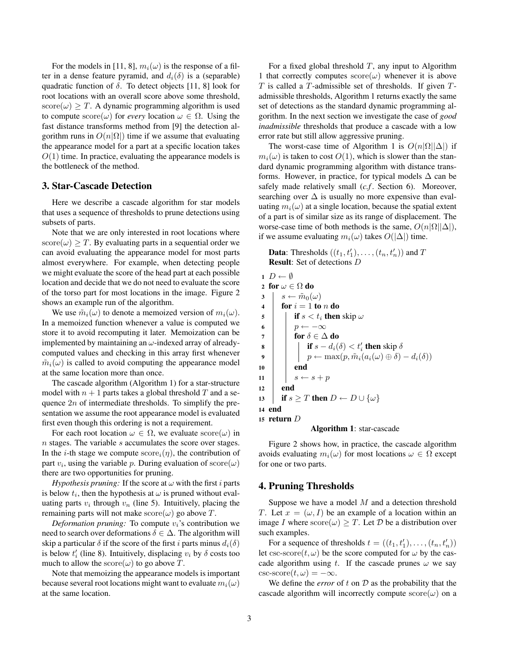For the models in [11, 8],  $m_i(\omega)$  is the response of a filter in a dense feature pyramid, and  $d_i(\delta)$  is a (separable) quadratic function of  $\delta$ . To detect objects [11, 8] look for root locations with an overall score above some threshold,  $\text{score}(\omega) > T$ . A dynamic programming algorithm is used to compute  $score(\omega)$  for *every* location  $\omega \in \Omega$ . Using the fast distance transforms method from [9] the detection algorithm runs in  $O(n|\Omega|)$  time if we assume that evaluating the appearance model for a part at a specific location takes  $O(1)$  time. In practice, evaluating the appearance models is the bottleneck of the method.

#### 3. Star-Cascade Detection

Here we describe a cascade algorithm for star models that uses a sequence of thresholds to prune detections using subsets of parts.

Note that we are only interested in root locations where score( $\omega$ )  $\geq$  T. By evaluating parts in a sequential order we can avoid evaluating the appearance model for most parts almost everywhere. For example, when detecting people we might evaluate the score of the head part at each possible location and decide that we do not need to evaluate the score of the torso part for most locations in the image. Figure 2 shows an example run of the algorithm.

We use  $\tilde{m}_i(\omega)$  to denote a memoized version of  $m_i(\omega)$ . In a memoized function whenever a value is computed we store it to avoid recomputing it later. Memoization can be implemented by maintaining an  $\omega$ -indexed array of alreadycomputed values and checking in this array first whenever  $\tilde{m}_i(\omega)$  is called to avoid computing the appearance model at the same location more than once.

The cascade algorithm (Algorithm 1) for a star-structure model with  $n + 1$  parts takes a global threshold T and a sequence  $2n$  of intermediate thresholds. To simplify the presentation we assume the root appearance model is evaluated first even though this ordering is not a requirement.

For each root location  $\omega \in \Omega$ , we evaluate score $(\omega)$  in n stages. The variable s accumulates the score over stages. In the *i*-th stage we compute  $score_i(\eta)$ , the contribution of part  $v_i$ , using the variable p. During evaluation of score $(\omega)$ there are two opportunities for pruning.

*Hypothesis pruning:* If the score at  $\omega$  with the first *i* parts is below  $t_i$ , then the hypothesis at  $\omega$  is pruned without evaluating parts  $v_i$  through  $v_n$  (line 5). Intuitively, placing the remaining parts will not make  $score(\omega)$  go above T.

*Deformation pruning:* To compute  $v_i$ 's contribution we need to search over deformations  $\delta \in \Delta$ . The algorithm will skip a particular  $\delta$  if the score of the first i parts minus  $d_i(\delta)$ is below  $t_i'$  (line 8). Intuitively, displacing  $v_i$  by  $\delta$  costs too much to allow the score $(\omega)$  to go above T.

Note that memoizing the appearance models is important because several root locations might want to evaluate  $m_i(\omega)$ at the same location.

For a fixed global threshold  $T$ , any input to Algorithm 1 that correctly computes  $score(\omega)$  whenever it is above  $T$  is called a  $T$ -admissible set of thresholds. If given  $T$ admissible thresholds, Algorithm 1 returns exactly the same set of detections as the standard dynamic programming algorithm. In the next section we investigate the case of *good inadmissible* thresholds that produce a cascade with a low error rate but still allow aggressive pruning.

The worst-case time of Algorithm 1 is  $O(n|\Omega||\Delta|)$  if  $m_i(\omega)$  is taken to cost  $O(1)$ , which is slower than the standard dynamic programming algorithm with distance transforms. However, in practice, for typical models  $\Delta$  can be safely made relatively small (*c.f.* Section 6). Moreover, searching over  $\Delta$  is usually no more expensive than evaluating  $m_i(\omega)$  at a single location, because the spatial extent of a part is of similar size as its range of displacement. The worse-case time of both methods is the same,  $O(n|\Omega||\Delta|)$ , if we assume evaluating  $m_i(\omega)$  takes  $O(|\Delta|)$  time.

**Data:** Thresholds  $((t_1, t'_1), \ldots, (t_n, t'_n))$  and T Result: Set of detections D

 $1 D \leftarrow \emptyset$ 2 for  $\omega \in \Omega$  do  $3 \mid s \leftarrow \tilde{m}_0(\omega)$ 4 for  $i = 1$  to n do 5 **if**  $s < t_i$  then skip  $\omega$ 6 |  $p \leftarrow -\infty$ 7 | for  $\delta \in \Delta$  do **s**  $\begin{array}{|c|c|c|} \hline \textbf{if} & s-d_i(\delta) < t'_i \textbf{ then } \textbf{skip} \ \delta \\\hline \end{array}$ 9 | |  $p \leftarrow \max(p, \tilde{m}_i(a_i(\omega) \oplus \delta) - d_i(\delta))$  $10$  end 11  $\vert \vert \ s \leftarrow s + p$  $12$  end 13 **if**  $s \geq T$  then  $D \leftarrow D \cup \{\omega\}$ 14 end <sup>15</sup> return D

#### Algorithm 1: star-cascade

Figure 2 shows how, in practice, the cascade algorithm avoids evaluating  $m_i(\omega)$  for most locations  $\omega \in \Omega$  except for one or two parts.

#### 4. Pruning Thresholds

Suppose we have a model  $M$  and a detection threshold T. Let  $x = (\omega, I)$  be an example of a location within an image I where  $score(\omega) \geq T$ . Let D be a distribution over such examples.

For a sequence of thresholds  $t = ((t_1, t'_1), \ldots, (t_n, t'_n))$ let csc-score $(t, \omega)$  be the score computed for  $\omega$  by the cascade algorithm using t. If the cascade prunes  $\omega$  we say csc-score $(t, \omega) = -\infty$ .

We define the *error* of t on  $D$  as the probability that the cascade algorithm will incorrectly compute  $score(\omega)$  on a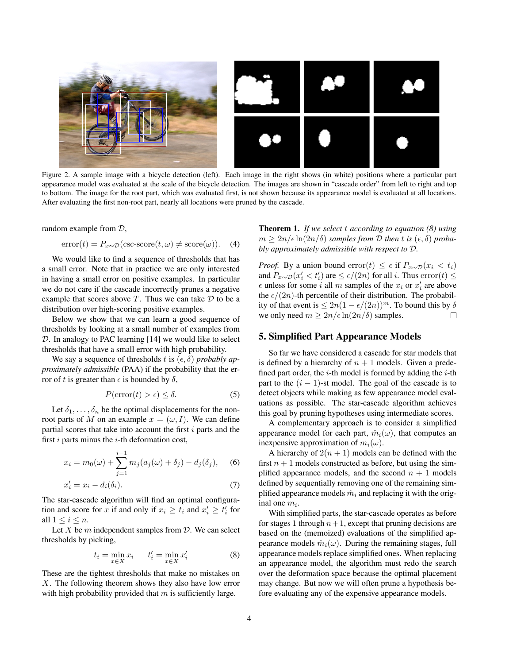

Figure 2. A sample image with a bicycle detection (left). Each image in the right shows (in white) positions where a particular part appearance model was evaluated at the scale of the bicycle detection. The images are shown in "cascade order" from left to right and top to bottom. The image for the root part, which was evaluated first, is not shown because its appearance model is evaluated at all locations. After evaluating the first non-root part, nearly all locations were pruned by the cascade.

random example from D,

$$
\text{error}(t) = P_{x \sim \mathcal{D}}(\csc\text{-score}(t, \omega) \neq \text{score}(\omega)). \tag{4}
$$

We would like to find a sequence of thresholds that has a small error. Note that in practice we are only interested in having a small error on positive examples. In particular we do not care if the cascade incorrectly prunes a negative example that scores above  $T$ . Thus we can take  $D$  to be a distribution over high-scoring positive examples.

Below we show that we can learn a good sequence of thresholds by looking at a small number of examples from D. In analogy to PAC learning [14] we would like to select thresholds that have a small error with high probability.

We say a sequence of thresholds t is  $(\epsilon, \delta)$  *probably approximately admissible* (PAA) if the probability that the error of t is greater than  $\epsilon$  is bounded by  $\delta$ ,

$$
P(\text{error}(t) > \epsilon) \le \delta. \tag{5}
$$

Let  $\delta_1, \ldots, \delta_n$  be the optimal displacements for the nonroot parts of M on an example  $x = (\omega, I)$ . We can define partial scores that take into account the first  $i$  parts and the first  $i$  parts minus the  $i$ -th deformation cost,

$$
x_i = m_0(\omega) + \sum_{j=1}^{i-1} m_j(a_j(\omega) + \delta_j) - d_j(\delta_j), \quad (6)
$$

$$
x_i' = x_i - d_i(\delta_i). \tag{7}
$$

The star-cascade algorithm will find an optimal configuration and score for x if and only if  $x_i \ge t_i$  and  $x'_i \ge t'_i$  for all  $1 \leq i \leq n$ .

Let  $X$  be  $m$  independent samples from  $D$ . We can select thresholds by picking,

$$
t_i = \min_{x \in X} x_i \qquad t'_i = \min_{x \in X} x'_i \tag{8}
$$

These are the tightest thresholds that make no mistakes on X. The following theorem shows they also have low error with high probability provided that  $m$  is sufficiently large.

Theorem 1. *If we select* t *according to equation (8) using*  $m > 2n/\epsilon \ln(2n/\delta)$  *samples from D then t is*  $(\epsilon, \delta)$  *probably approximately admissible with respect to* D*.*

*Proof.* By a union bound error(t)  $\leq \epsilon$  if  $P_{x \sim \mathcal{D}}(x_i \leq t_i)$ and  $P_{x \sim \mathcal{D}}(x'_i < t'_i)$  are  $\leq \epsilon/(2n)$  for all *i*. Thus  $error(t) \leq$  $\epsilon$  unless for some i all m samples of the  $x_i$  or  $x'_i$  are above the  $\epsilon/(2n)$ -th percentile of their distribution. The probability of that event is  $\leq 2n(1 - \epsilon/(2n))^m$ . To bound this by  $\delta$ we only need  $m \geq 2n/\epsilon \ln(2n/\delta)$  samples.  $\Box$ 

#### 5. Simplified Part Appearance Models

So far we have considered a cascade for star models that is defined by a hierarchy of  $n + 1$  models. Given a predefined part order, the  $i$ -th model is formed by adding the  $i$ -th part to the  $(i - 1)$ -st model. The goal of the cascade is to detect objects while making as few appearance model evaluations as possible. The star-cascade algorithm achieves this goal by pruning hypotheses using intermediate scores.

A complementary approach is to consider a simplified appearance model for each part,  $\hat{m}_i(\omega)$ , that computes an inexpensive approximation of  $m_i(\omega)$ .

A hierarchy of  $2(n + 1)$  models can be defined with the first  $n + 1$  models constructed as before, but using the simplified appearance models, and the second  $n + 1$  models defined by sequentially removing one of the remaining simplified appearance models  $\hat{m}_i$  and replacing it with the original one  $m_i$ .

With simplified parts, the star-cascade operates as before for stages 1 through  $n+1$ , except that pruning decisions are based on the (memoized) evaluations of the simplified appearance models  $\hat{m}_i(\omega)$ . During the remaining stages, full appearance models replace simplified ones. When replacing an appearance model, the algorithm must redo the search over the deformation space because the optimal placement may change. But now we will often prune a hypothesis before evaluating any of the expensive appearance models.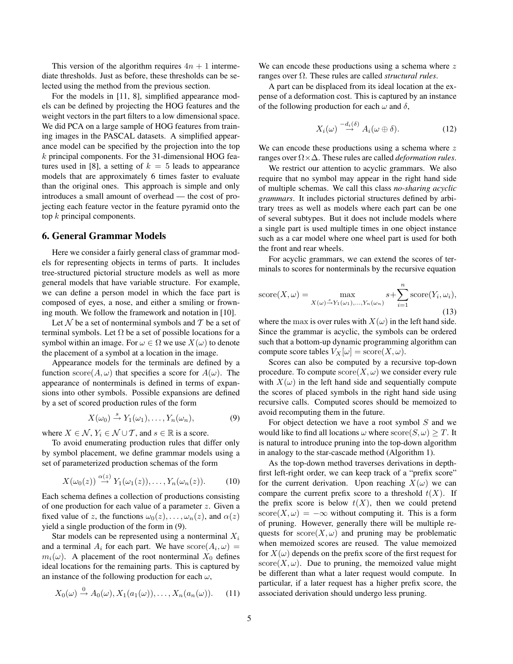This version of the algorithm requires  $4n + 1$  intermediate thresholds. Just as before, these thresholds can be selected using the method from the previous section.

For the models in [11, 8], simplified appearance models can be defined by projecting the HOG features and the weight vectors in the part filters to a low dimensional space. We did PCA on a large sample of HOG features from training images in the PASCAL datasets. A simplified appearance model can be specified by the projection into the top  $k$  principal components. For the 31-dimensional HOG features used in [8], a setting of  $k = 5$  leads to appearance models that are approximately 6 times faster to evaluate than the original ones. This approach is simple and only introduces a small amount of overhead — the cost of projecting each feature vector in the feature pyramid onto the top k principal components.

#### 6. General Grammar Models

Here we consider a fairly general class of grammar models for representing objects in terms of parts. It includes tree-structured pictorial structure models as well as more general models that have variable structure. For example, we can define a person model in which the face part is composed of eyes, a nose, and either a smiling or frowning mouth. We follow the framework and notation in [10].

Let N be a set of nonterminal symbols and T be a set of terminal symbols. Let  $\Omega$  be a set of possible locations for a symbol within an image. For  $\omega \in \Omega$  we use  $X(\omega)$  to denote the placement of a symbol at a location in the image.

Appearance models for the terminals are defined by a function  $score(A, \omega)$  that specifies a score for  $A(\omega)$ . The appearance of nonterminals is defined in terms of expansions into other symbols. Possible expansions are defined by a set of scored production rules of the form

$$
X(\omega_0) \stackrel{s}{\rightarrow} Y_1(\omega_1), \dots, Y_n(\omega_n), \tag{9}
$$

where  $X \in \mathcal{N}, Y_i \in \mathcal{N} \cup \mathcal{T}$ , and  $s \in \mathbb{R}$  is a score.

To avoid enumerating production rules that differ only by symbol placement, we define grammar models using a set of parameterized production schemas of the form

$$
X(\omega_0(z)) \stackrel{\alpha(z)}{\rightarrow} Y_1(\omega_1(z)), \ldots, Y_n(\omega_n(z)). \tag{10}
$$

Each schema defines a collection of productions consisting of one production for each value of a parameter z. Given a fixed value of z, the functions  $\omega_0(z), \dots, \omega_n(z)$ , and  $\alpha(z)$ yield a single production of the form in (9).

Star models can be represented using a nonterminal  $X_i$ and a terminal  $A_i$  for each part. We have  $score(A_i, \omega)$  =  $m_i(\omega)$ . A placement of the root nonterminal  $X_0$  defines ideal locations for the remaining parts. This is captured by an instance of the following production for each  $\omega$ ,

$$
X_0(\omega) \stackrel{0}{\rightarrow} A_0(\omega), X_1(a_1(\omega)), \dots, X_n(a_n(\omega)). \tag{11}
$$

We can encode these productions using a schema where z ranges over Ω. These rules are called *structural rules*.

A part can be displaced from its ideal location at the expense of a deformation cost. This is captured by an instance of the following production for each  $\omega$  and  $\delta$ ,

$$
X_i(\omega) \stackrel{-d_i(\delta)}{\rightarrow} A_i(\omega \oplus \delta).
$$
 (12)

We can encode these productions using a schema where  $z$ ranges over Ω×∆. These rules are called *deformation rules*.

We restrict our attention to acyclic grammars. We also require that no symbol may appear in the right hand side of multiple schemas. We call this class *no-sharing acyclic grammars*. It includes pictorial structures defined by arbitrary trees as well as models where each part can be one of several subtypes. But it does not include models where a single part is used multiple times in one object instance such as a car model where one wheel part is used for both the front and rear wheels.

For acyclic grammars, we can extend the scores of terminals to scores for nonterminals by the recursive equation

score
$$
(X, \omega)
$$
 = max 
$$
\max_{X(\omega) \stackrel{s}{\rightarrow} Y_1(\omega_1), \dots, Y_n(\omega_n)} s + \sum_{i=1}^n \text{score}(Y_i, \omega_i),
$$
(13)

where the max is over rules with  $X(\omega)$  in the left hand side. Since the grammar is acyclic, the symbols can be ordered such that a bottom-up dynamic programming algorithm can compute score tables  $V_X[\omega] = \text{score}(X, \omega)$ .

Scores can also be computed by a recursive top-down procedure. To compute  $score(X, \omega)$  we consider every rule with  $X(\omega)$  in the left hand side and sequentially compute the scores of placed symbols in the right hand side using recursive calls. Computed scores should be memoized to avoid recomputing them in the future.

For object detection we have a root symbol  $S$  and we would like to find all locations  $\omega$  where  $\text{score}(S, \omega) \geq T$ . It is natural to introduce pruning into the top-down algorithm in analogy to the star-cascade method (Algorithm 1).

As the top-down method traverses derivations in depthfirst left-right order, we can keep track of a "prefix score" for the current derivation. Upon reaching  $X(\omega)$  we can compare the current prefix score to a threshold  $t(X)$ . If the prefix score is below  $t(X)$ , then we could pretend  $\text{score}(X, \omega) = -\infty$  without computing it. This is a form of pruning. However, generally there will be multiple requests for  $score(X, \omega)$  and pruning may be problematic when memoized scores are reused. The value memoized for  $X(\omega)$  depends on the prefix score of the first request for  $score(X, \omega)$ . Due to pruning, the memoized value might be different than what a later request would compute. In particular, if a later request has a higher prefix score, the associated derivation should undergo less pruning.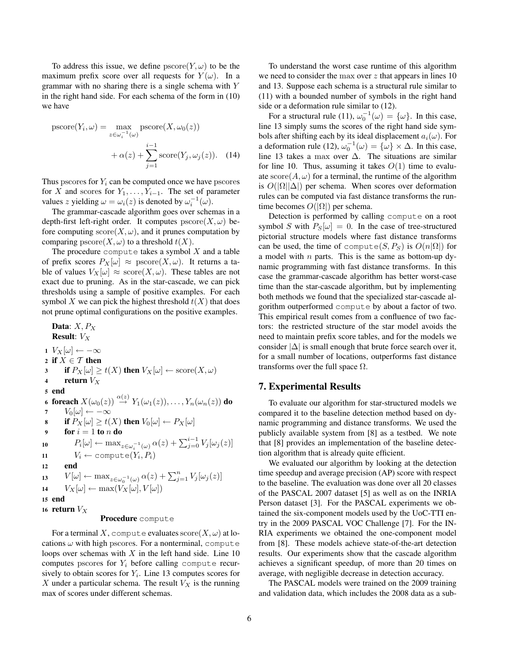To address this issue, we define  $pscore(Y, \omega)$  to be the maximum prefix score over all requests for  $Y(\omega)$ . In a grammar with no sharing there is a single schema with Y in the right hand side. For each schema of the form in (10) we have

$$
\text{pscore}(Y_i, \omega) = \max_{z \in \omega_i^{-1}(\omega)} \text{pscore}(X, \omega_0(z)) + \alpha(z) + \sum_{j=1}^{i-1} \text{score}(Y_j, \omega_j(z)). \quad (14)
$$

Thus pscores for  $Y_i$  can be computed once we have pscores for X and scores for  $Y_1, \ldots, Y_{i-1}$ . The set of parameter values z yielding  $\omega = \omega_i(z)$  is denoted by  $\omega_i^{-1}(\omega)$ .

The grammar-cascade algorithm goes over schemas in a depth-first left-right order. It computes  $\mathrm{pscore}(X, \omega)$  before computing  $score(X, \omega)$ , and it prunes computation by comparing  $\operatorname{pscore}(X, \omega)$  to a threshold  $t(X)$ .

The procedure compute takes a symbol  $X$  and a table of prefix scores  $P_X[\omega] \approx \text{pscore}(X, \omega)$ . It returns a table of values  $V_X[\omega] \approx \text{score}(X, \omega)$ . These tables are not exact due to pruning. As in the star-cascade, we can pick thresholds using a sample of positive examples. For each symbol X we can pick the highest threshold  $t(X)$  that does not prune optimal configurations on the positive examples.

Data:  $X, P_X$ **Result:**  $V_X$ 1  $V_X[\omega] \leftarrow -\infty$ 2 if  $X \in \mathcal{T}$  then 3 if  $P_X[\omega] \ge t(X)$  then  $V_X[\omega] \leftarrow \text{score}(X, \omega)$ 4 return  $V_X$ 5 end 6 foreach  $X(\omega_0(z)) \stackrel{\alpha(z)}{\rightarrow} Y_1(\omega_1(z)), \ldots, Y_n(\omega_n(z))$  do 7  $V_0[\omega] \leftarrow -\infty$ **8** if  $P_X[\omega] \ge t(X)$  then  $V_0[\omega] \leftarrow P_X[\omega]$ 9 for  $i = 1$  to n do **10**  $P_i[\omega] \leftarrow \max_{z \in \omega_i^{-1}(\omega)} \alpha(z) + \sum_{j=0}^{i-1} V_j[\omega_j(z)]$ 11  $V_i \leftarrow \text{compute}(Y_i, P_i)$ <sup>12</sup> end 13  $V[\omega] \leftarrow \max_{z \in \omega_0^{-1}(\omega)} \alpha(z) + \sum_{j=1}^n V_j[\omega_j(z)]$ 14  $V_X[\omega] \leftarrow \max(V_X[\omega], V[\omega])$ <sup>15</sup> end 16 return  $V_X$ Procedure compute

For a terminal X, compute evaluates  $score(X, \omega)$  at locations  $\omega$  with high pscores. For a nonterminal, compute loops over schemas with  $X$  in the left hand side. Line 10 computes pscores for  $Y_i$  before calling compute recursively to obtain scores for  $Y_i$ . Line 13 computes scores for X under a particular schema. The result  $V_X$  is the running max of scores under different schemas.

To understand the worst case runtime of this algorithm we need to consider the max over  $z$  that appears in lines 10 and 13. Suppose each schema is a structural rule similar to (11) with a bounded number of symbols in the right hand side or a deformation rule similar to (12).

For a structural rule (11),  $\omega_0^{-1}(\omega) = {\{\omega\}}$ . In this case, line 13 simply sums the scores of the right hand side symbols after shifting each by its ideal displacement  $a_i(\omega)$ . For a deformation rule (12),  $\omega_0^{-1}(\omega) = {\{\omega\}} \times \Delta$ . In this case, line 13 takes a max over  $\Delta$ . The situations are similar for line 10. Thus, assuming it takes  $O(1)$  time to evaluate  $\operatorname{score}(A, \omega)$  for a terminal, the runtime of the algorithm is  $O(|\Omega||\Delta|)$  per schema. When scores over deformation rules can be computed via fast distance transforms the runtime becomes  $O(|\Omega|)$  per schema.

Detection is performed by calling compute on a root symbol S with  $P_S[\omega] = 0$ . In the case of tree-structured pictorial structure models where fast distance transforms can be used, the time of compute(S,  $P_S$ ) is  $O(n|\Omega|)$  for a model with  $n$  parts. This is the same as bottom-up dynamic programming with fast distance transforms. In this case the grammar-cascade algorithm has better worst-case time than the star-cascade algorithm, but by implementing both methods we found that the specialized star-cascade algorithm outperformed compute by about a factor of two. This empirical result comes from a confluence of two factors: the restricted structure of the star model avoids the need to maintain prefix score tables, and for the models we consider  $|\Delta|$  is small enough that brute force search over it, for a small number of locations, outperforms fast distance transforms over the full space  $\Omega$ .

#### 7. Experimental Results

To evaluate our algorithm for star-structured models we compared it to the baseline detection method based on dynamic programming and distance transforms. We used the publicly available system from [8] as a testbed. We note that [8] provides an implementation of the baseline detection algorithm that is already quite efficient.

We evaluated our algorithm by looking at the detection time speedup and average precision (AP) score with respect to the baseline. The evaluation was done over all 20 classes of the PASCAL 2007 dataset [5] as well as on the INRIA Person dataset [3]. For the PASCAL experiments we obtained the six-component models used by the UoC-TTI entry in the 2009 PASCAL VOC Challenge [7]. For the IN-RIA experiments we obtained the one-component model from [8]. These models achieve state-of-the-art detection results. Our experiments show that the cascade algorithm achieves a significant speedup, of more than 20 times on average, with negligible decrease in detection accuracy.

The PASCAL models were trained on the 2009 training and validation data, which includes the 2008 data as a sub-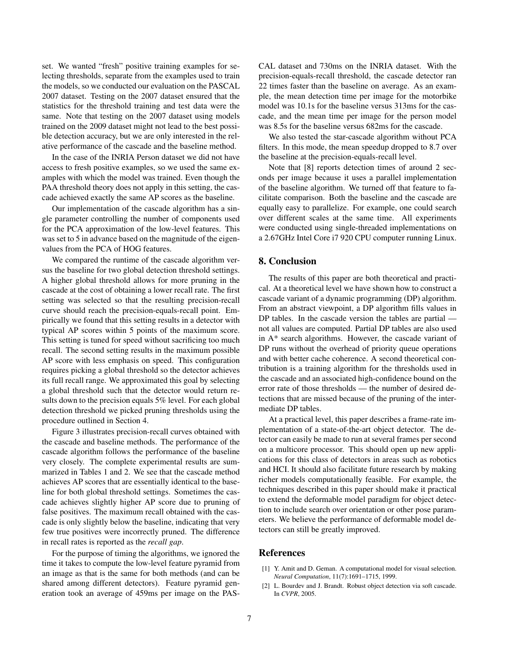set. We wanted "fresh" positive training examples for selecting thresholds, separate from the examples used to train the models, so we conducted our evaluation on the PASCAL 2007 dataset. Testing on the 2007 dataset ensured that the statistics for the threshold training and test data were the same. Note that testing on the 2007 dataset using models trained on the 2009 dataset might not lead to the best possible detection accuracy, but we are only interested in the relative performance of the cascade and the baseline method.

In the case of the INRIA Person dataset we did not have access to fresh positive examples, so we used the same examples with which the model was trained. Even though the PAA threshold theory does not apply in this setting, the cascade achieved exactly the same AP scores as the baseline.

Our implementation of the cascade algorithm has a single parameter controlling the number of components used for the PCA approximation of the low-level features. This was set to 5 in advance based on the magnitude of the eigenvalues from the PCA of HOG features.

We compared the runtime of the cascade algorithm versus the baseline for two global detection threshold settings. A higher global threshold allows for more pruning in the cascade at the cost of obtaining a lower recall rate. The first setting was selected so that the resulting precision-recall curve should reach the precision-equals-recall point. Empirically we found that this setting results in a detector with typical AP scores within 5 points of the maximum score. This setting is tuned for speed without sacrificing too much recall. The second setting results in the maximum possible AP score with less emphasis on speed. This configuration requires picking a global threshold so the detector achieves its full recall range. We approximated this goal by selecting a global threshold such that the detector would return results down to the precision equals 5% level. For each global detection threshold we picked pruning thresholds using the procedure outlined in Section 4.

Figure 3 illustrates precision-recall curves obtained with the cascade and baseline methods. The performance of the cascade algorithm follows the performance of the baseline very closely. The complete experimental results are summarized in Tables 1 and 2. We see that the cascade method achieves AP scores that are essentially identical to the baseline for both global threshold settings. Sometimes the cascade achieves slightly higher AP score due to pruning of false positives. The maximum recall obtained with the cascade is only slightly below the baseline, indicating that very few true positives were incorrectly pruned. The difference in recall rates is reported as the *recall gap*.

For the purpose of timing the algorithms, we ignored the time it takes to compute the low-level feature pyramid from an image as that is the same for both methods (and can be shared among different detectors). Feature pyramid generation took an average of 459ms per image on the PAS-

CAL dataset and 730ms on the INRIA dataset. With the precision-equals-recall threshold, the cascade detector ran 22 times faster than the baseline on average. As an example, the mean detection time per image for the motorbike model was 10.1s for the baseline versus 313ms for the cascade, and the mean time per image for the person model was 8.5s for the baseline versus 682ms for the cascade.

We also tested the star-cascade algorithm without PCA filters. In this mode, the mean speedup dropped to 8.7 over the baseline at the precision-equals-recall level.

Note that [8] reports detection times of around 2 seconds per image because it uses a parallel implementation of the baseline algorithm. We turned off that feature to facilitate comparison. Both the baseline and the cascade are equally easy to parallelize. For example, one could search over different scales at the same time. All experiments were conducted using single-threaded implementations on a 2.67GHz Intel Core i7 920 CPU computer running Linux.

#### 8. Conclusion

The results of this paper are both theoretical and practical. At a theoretical level we have shown how to construct a cascade variant of a dynamic programming (DP) algorithm. From an abstract viewpoint, a DP algorithm fills values in DP tables. In the cascade version the tables are partial not all values are computed. Partial DP tables are also used in A\* search algorithms. However, the cascade variant of DP runs without the overhead of priority queue operations and with better cache coherence. A second theoretical contribution is a training algorithm for the thresholds used in the cascade and an associated high-confidence bound on the error rate of those thresholds — the number of desired detections that are missed because of the pruning of the intermediate DP tables.

At a practical level, this paper describes a frame-rate implementation of a state-of-the-art object detector. The detector can easily be made to run at several frames per second on a multicore processor. This should open up new applications for this class of detectors in areas such as robotics and HCI. It should also facilitate future research by making richer models computationally feasible. For example, the techniques described in this paper should make it practical to extend the deformable model paradigm for object detection to include search over orientation or other pose parameters. We believe the performance of deformable model detectors can still be greatly improved.

#### References

- [1] Y. Amit and D. Geman. A computational model for visual selection. *Neural Computation*, 11(7):1691–1715, 1999.
- [2] L. Bourdev and J. Brandt. Robust object detection via soft cascade. In *CVPR*, 2005.